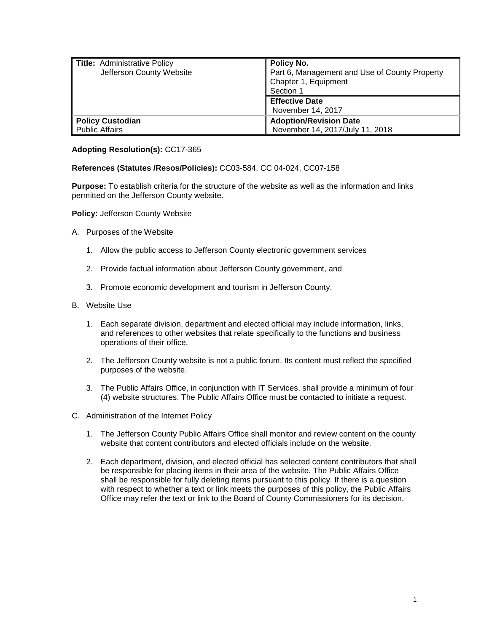| <b>Title: Administrative Policy</b><br>Jefferson County Website | Policy No.<br>Part 6, Management and Use of County Property<br>Chapter 1, Equipment<br>Section 1 |
|-----------------------------------------------------------------|--------------------------------------------------------------------------------------------------|
|                                                                 | <b>Effective Date</b><br>November 14, 2017                                                       |
| <b>Policy Custodian</b><br>Public Affairs                       | <b>Adoption/Revision Date</b><br>November 14, 2017/July 11, 2018                                 |

## **Adopting Resolution(s):** CC17-365

**References (Statutes /Resos/Policies):** CC03-584, CC 04-024, CC07-158

**Purpose:** To establish criteria for the structure of the website as well as the information and links permitted on the Jefferson County website.

**Policy:** Jefferson County Website

- A. Purposes of the Website
	- 1. Allow the public access to Jefferson County electronic government services
	- 2. Provide factual information about Jefferson County government, and
	- 3. Promote economic development and tourism in Jefferson County.
- B. Website Use
	- 1. Each separate division, department and elected official may include information, links, and references to other websites that relate specifically to the functions and business operations of their office.
	- 2. The Jefferson County website is not a public forum. Its content must reflect the specified purposes of the website.
	- 3. The Public Affairs Office, in conjunction with IT Services, shall provide a minimum of four (4) website structures. The Public Affairs Office must be contacted to initiate a request.
- C. Administration of the Internet Policy
	- 1. The Jefferson County Public Affairs Office shall monitor and review content on the county website that content contributors and elected officials include on the website.
	- 2. Each department, division, and elected official has selected content contributors that shall be responsible for placing items in their area of the website. The Public Affairs Office shall be responsible for fully deleting items pursuant to this policy. If there is a question with respect to whether a text or link meets the purposes of this policy, the Public Affairs Office may refer the text or link to the Board of County Commissioners for its decision.